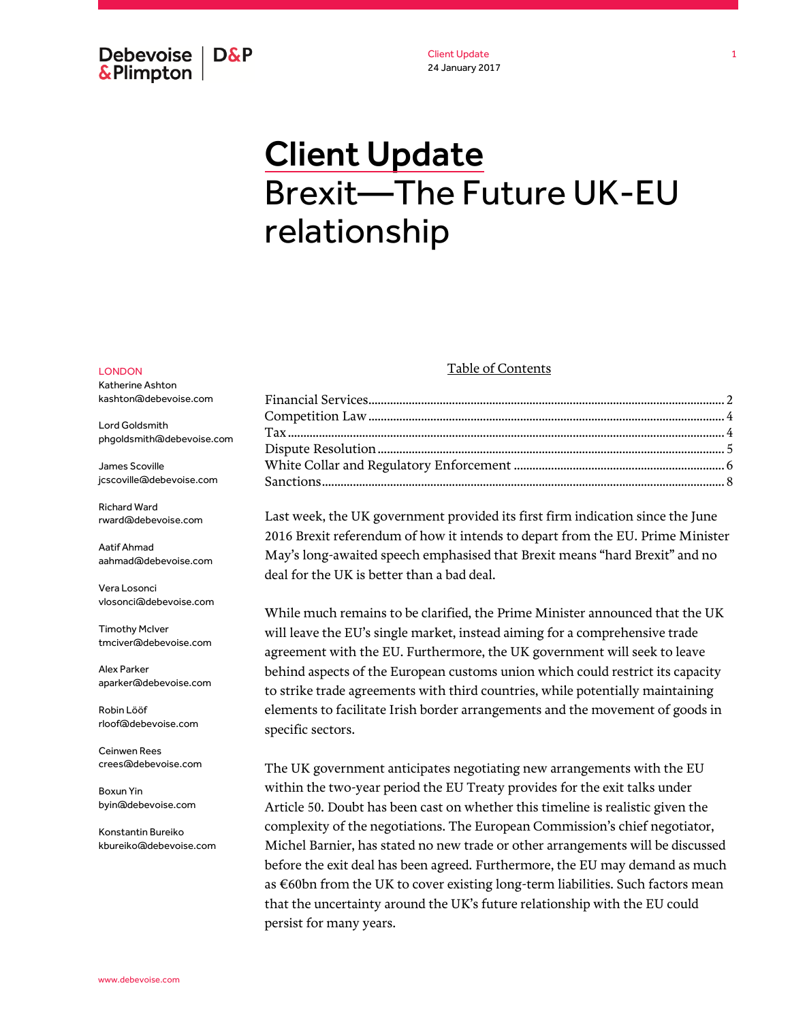Debevoise  $\overline{ }$  D&P **&Plimpton** 

Client Update 24 January 2017

# Client Update Brexit—The Future UK-EU relationship

#### LONDON

Katherine Ashton kashton@debevoise.com

Lord Goldsmith phgoldsmith@debevoise.com

James Scoville jcscoville@debevoise.com

Richard Ward rward@debevoise.com

Aatif Ahmad aahmad@debevoise.com

Vera Losonci vlosonci@debevoise.com

Timothy McIver tmciver@debevoise.com

Alex Parker aparker@debevoise.com

Robin Lööf rloof@debevoise.com

Ceinwen Rees crees@debevoise.com

Boxun Yin byin@debevoise.com

Konstantin Bureiko kbureiko@debevoise.com

#### Table of Contents

Last week, the UK government provided its first firm indication since the June 2016 Brexit referendum of how it intends to depart from the EU. Prime Minister May's long-awaited speech emphasised that Brexit means "hard Brexit" and no deal for the UK is better than a bad deal.

While much remains to be clarified, the Prime Minister announced that the UK will leave the EU's single market, instead aiming for a comprehensive trade agreement with the EU. Furthermore, the UK government will seek to leave behind aspects of the European customs union which could restrict its capacity to strike trade agreements with third countries, while potentially maintaining elements to facilitate Irish border arrangements and the movement of goods in specific sectors.

The UK government anticipates negotiating new arrangements with the EU within the two-year period the EU Treaty provides for the exit talks under Article 50. Doubt has been cast on whether this timeline is realistic given the complexity of the negotiations. The European Commission's chief negotiator, Michel Barnier, has stated no new trade or other arrangements will be discussed before the exit deal has been agreed. Furthermore, the EU may demand as much as €60bn from the UK to cover existing long-term liabilities. Such factors mean that the uncertainty around the UK's future relationship with the EU could persist for many years.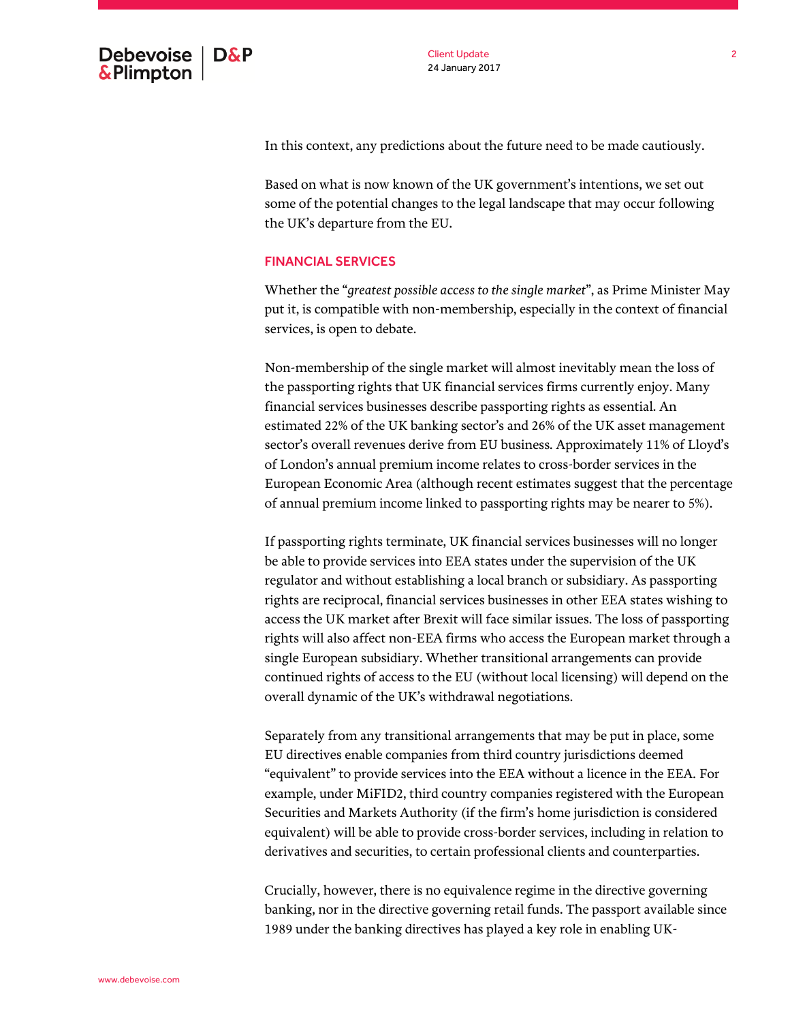In this context, any predictions about the future need to be made cautiously.

Based on what is now known of the UK government's intentions, we set out some of the potential changes to the legal landscape that may occur following the UK's departure from the EU.

#### <span id="page-1-0"></span>FINANCIAL SERVICES

Whether the "*greatest possible access to the single market*", as Prime Minister May put it, is compatible with non-membership, especially in the context of financial services, is open to debate.

Non-membership of the single market will almost inevitably mean the loss of the passporting rights that UK financial services firms currently enjoy. Many financial services businesses describe passporting rights as essential. An estimated 22% of the UK banking sector's and 26% of the UK asset management sector's overall revenues derive from EU business. Approximately 11% of Lloyd's of London's annual premium income relates to cross-border services in the European Economic Area (although recent estimates suggest that the percentage of annual premium income linked to passporting rights may be nearer to 5%).

If passporting rights terminate, UK financial services businesses will no longer be able to provide services into EEA states under the supervision of the UK regulator and without establishing a local branch or subsidiary. As passporting rights are reciprocal, financial services businesses in other EEA states wishing to access the UK market after Brexit will face similar issues. The loss of passporting rights will also affect non-EEA firms who access the European market through a single European subsidiary. Whether transitional arrangements can provide continued rights of access to the EU (without local licensing) will depend on the overall dynamic of the UK's withdrawal negotiations.

Separately from any transitional arrangements that may be put in place, some EU directives enable companies from third country jurisdictions deemed "equivalent" to provide services into the EEA without a licence in the EEA. For example, under MiFID2, third country companies registered with the European Securities and Markets Authority (if the firm's home jurisdiction is considered equivalent) will be able to provide cross-border services, including in relation to derivatives and securities, to certain professional clients and counterparties.

Crucially, however, there is no equivalence regime in the directive governing banking, nor in the directive governing retail funds. The passport available since 1989 under the banking directives has played a key role in enabling UK-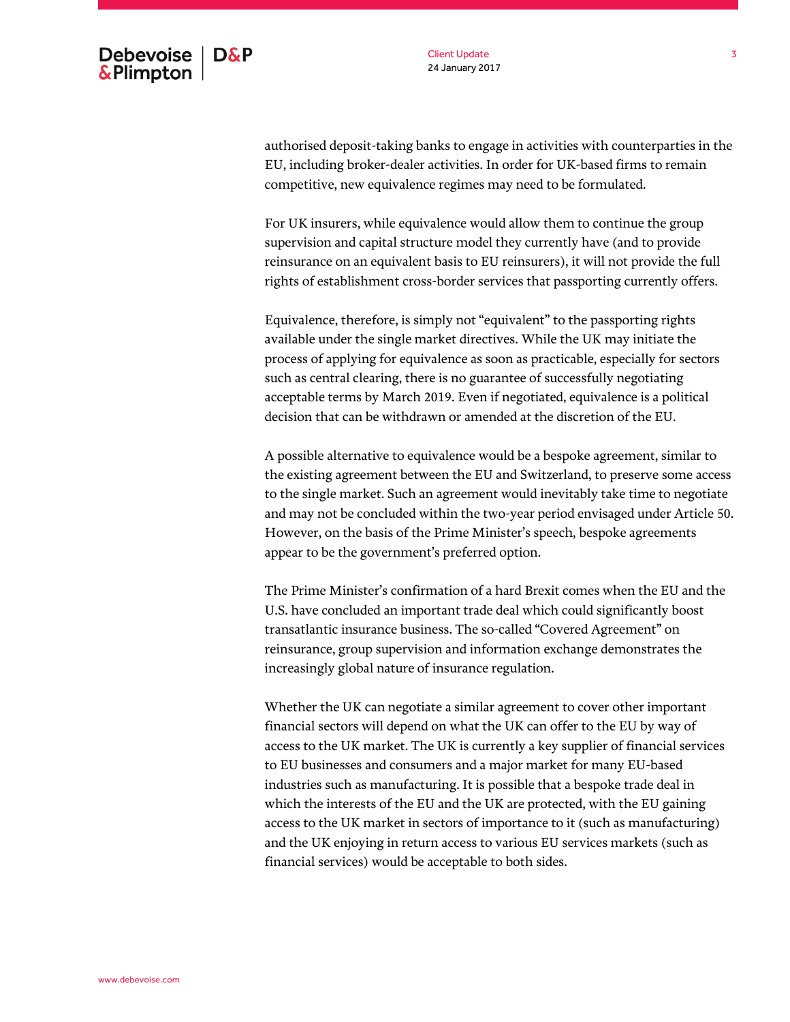Client Update 24 January 2017

authorised deposit-taking banks to engage in activities with counterparties in the EU, including broker-dealer activities. In order for UK-based firms to remain competitive, new equivalence regimes may need to be formulated.

For UK insurers, while equivalence would allow them to continue the group supervision and capital structure model they currently have (and to provide reinsurance on an equivalent basis to EU reinsurers), it will not provide the full rights of establishment cross-border services that passporting currently offers.

Equivalence, therefore, is simply not "equivalent" to the passporting rights available under the single market directives. While the UK may initiate the process of applying for equivalence as soon as practicable, especially for sectors such as central clearing, there is no guarantee of successfully negotiating acceptable terms by March 2019. Even if negotiated, equivalence is a political decision that can be withdrawn or amended at the discretion of the EU.

A possible alternative to equivalence would be a bespoke agreement, similar to the existing agreement between the EU and Switzerland, to preserve some access to the single market. Such an agreement would inevitably take time to negotiate and may not be concluded within the two-year period envisaged under Article 50. However, on the basis of the Prime Minister's speech, bespoke agreements appear to be the government's preferred option.

The Prime Minister's confirmation of a hard Brexit comes when the EU and the U.S. have concluded an important trade deal which could significantly boost transatlantic insurance business. The so-called "Covered Agreement" on reinsurance, group supervision and information exchange demonstrates the increasingly global nature of insurance regulation.

Whether the UK can negotiate a similar agreement to cover other important financial sectors will depend on what the UK can offer to the EU by way of access to the UK market. The UK is currently a key supplier of financial services to EU businesses and consumers and a major market for many EU-based industries such as manufacturing. It is possible that a bespoke trade deal in which the interests of the EU and the UK are protected, with the EU gaining access to the UK market in sectors of importance to it (such as manufacturing) and the UK enjoying in return access to various EU services markets (such as financial services) would be acceptable to both sides.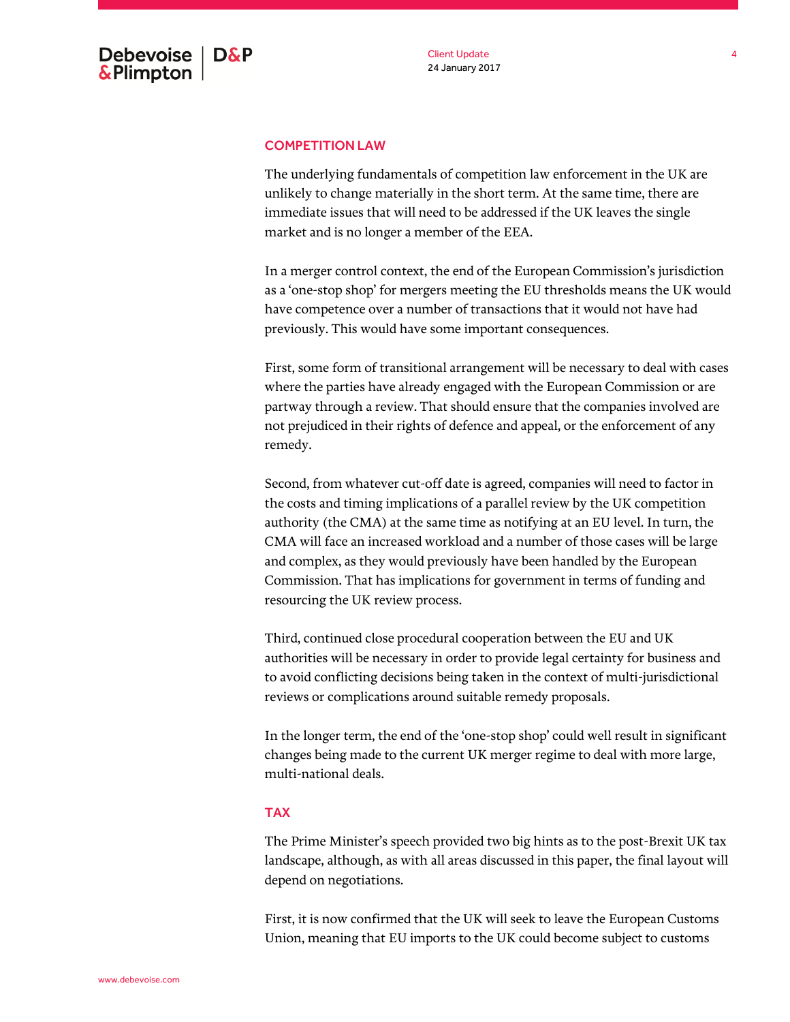#### <span id="page-3-0"></span>COMPETITION LAW

The underlying fundamentals of competition law enforcement in the UK are unlikely to change materially in the short term. At the same time, there are immediate issues that will need to be addressed if the UK leaves the single market and is no longer a member of the EEA.

In a merger control context, the end of the European Commission's jurisdiction as a 'one-stop shop' for mergers meeting the EU thresholds means the UK would have competence over a number of transactions that it would not have had previously. This would have some important consequences.

First, some form of transitional arrangement will be necessary to deal with cases where the parties have already engaged with the European Commission or are partway through a review. That should ensure that the companies involved are not prejudiced in their rights of defence and appeal, or the enforcement of any remedy.

Second, from whatever cut-off date is agreed, companies will need to factor in the costs and timing implications of a parallel review by the UK competition authority (the CMA) at the same time as notifying at an EU level. In turn, the CMA will face an increased workload and a number of those cases will be large and complex, as they would previously have been handled by the European Commission. That has implications for government in terms of funding and resourcing the UK review process.

Third, continued close procedural cooperation between the EU and UK authorities will be necessary in order to provide legal certainty for business and to avoid conflicting decisions being taken in the context of multi-jurisdictional reviews or complications around suitable remedy proposals.

In the longer term, the end of the 'one-stop shop' could well result in significant changes being made to the current UK merger regime to deal with more large, multi-national deals.

### <span id="page-3-1"></span>TAX

The Prime Minister's speech provided two big hints as to the post-Brexit UK tax landscape, although, as with all areas discussed in this paper, the final layout will depend on negotiations.

First, it is now confirmed that the UK will seek to leave the European Customs Union, meaning that EU imports to the UK could become subject to customs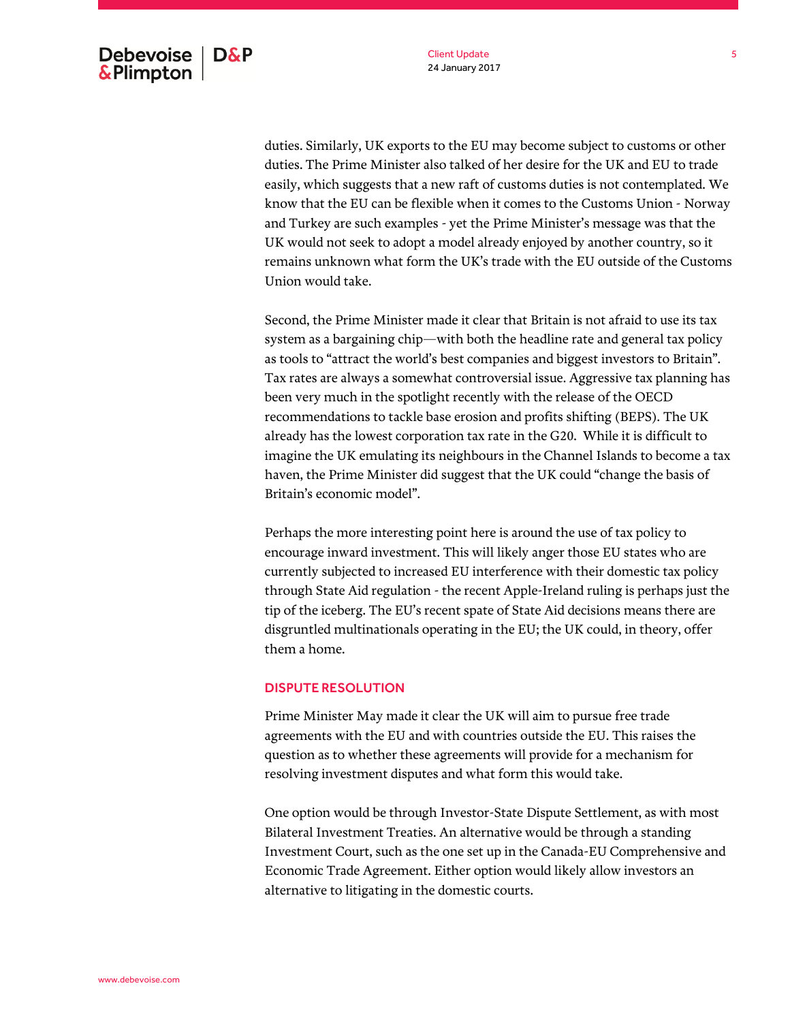duties. Similarly, UK exports to the EU may become subject to customs or other duties. The Prime Minister also talked of her desire for the UK and EU to trade easily, which suggests that a new raft of customs duties is not contemplated. We know that the EU can be flexible when it comes to the Customs Union - Norway and Turkey are such examples - yet the Prime Minister's message was that the UK would not seek to adopt a model already enjoyed by another country, so it remains unknown what form the UK's trade with the EU outside of the Customs Union would take.

Second, the Prime Minister made it clear that Britain is not afraid to use its tax system as a bargaining chip—with both the headline rate and general tax policy as tools to "attract the world's best companies and biggest investors to Britain". Tax rates are always a somewhat controversial issue. Aggressive tax planning has been very much in the spotlight recently with the release of the OECD recommendations to tackle base erosion and profits shifting (BEPS). The UK already has the lowest corporation tax rate in the G20. While it is difficult to imagine the UK emulating its neighbours in the Channel Islands to become a tax haven, the Prime Minister did suggest that the UK could "change the basis of Britain's economic model".

Perhaps the more interesting point here is around the use of tax policy to encourage inward investment. This will likely anger those EU states who are currently subjected to increased EU interference with their domestic tax policy through State Aid regulation - the recent Apple-Ireland ruling is perhaps just the tip of the iceberg. The EU's recent spate of State Aid decisions means there are disgruntled multinationals operating in the EU; the UK could, in theory, offer them a home.

#### <span id="page-4-0"></span>DISPUTE RESOLUTION

Prime Minister May made it clear the UK will aim to pursue free trade agreements with the EU and with countries outside the EU. This raises the question as to whether these agreements will provide for a mechanism for resolving investment disputes and what form this would take.

One option would be through Investor-State Dispute Settlement, as with most Bilateral Investment Treaties. An alternative would be through a standing Investment Court, such as the one set up in the Canada-EU Comprehensive and Economic Trade Agreement. Either option would likely allow investors an alternative to litigating in the domestic courts.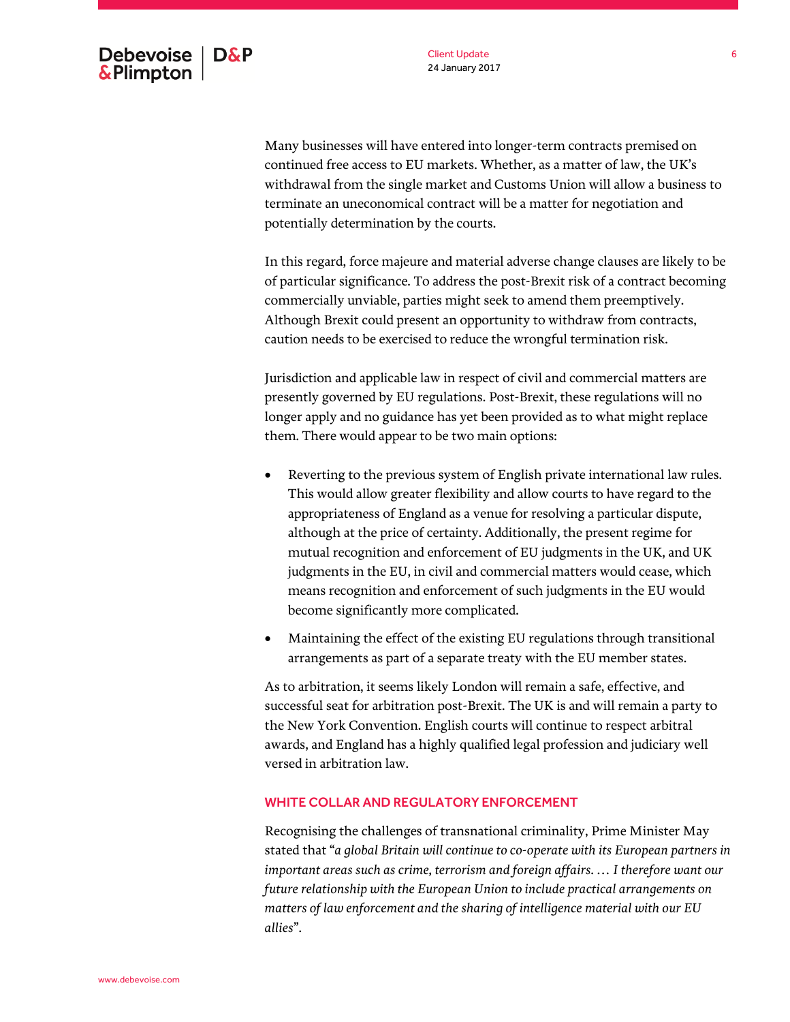Many businesses will have entered into longer-term contracts premised on continued free access to EU markets. Whether, as a matter of law, the UK's withdrawal from the single market and Customs Union will allow a business to terminate an uneconomical contract will be a matter for negotiation and potentially determination by the courts.

In this regard, force majeure and material adverse change clauses are likely to be of particular significance. To address the post-Brexit risk of a contract becoming commercially unviable, parties might seek to amend them preemptively. Although Brexit could present an opportunity to withdraw from contracts, caution needs to be exercised to reduce the wrongful termination risk.

Jurisdiction and applicable law in respect of civil and commercial matters are presently governed by EU regulations. Post-Brexit, these regulations will no longer apply and no guidance has yet been provided as to what might replace them. There would appear to be two main options:

- Reverting to the previous system of English private international law rules. This would allow greater flexibility and allow courts to have regard to the appropriateness of England as a venue for resolving a particular dispute, although at the price of certainty. Additionally, the present regime for mutual recognition and enforcement of EU judgments in the UK, and UK judgments in the EU, in civil and commercial matters would cease, which means recognition and enforcement of such judgments in the EU would become significantly more complicated.
- Maintaining the effect of the existing EU regulations through transitional arrangements as part of a separate treaty with the EU member states.

As to arbitration, it seems likely London will remain a safe, effective, and successful seat for arbitration post-Brexit. The UK is and will remain a party to the New York Convention. English courts will continue to respect arbitral awards, and England has a highly qualified legal profession and judiciary well versed in arbitration law.

# <span id="page-5-0"></span>WHITE COLLAR AND REGULATORY ENFORCEMENT

Recognising the challenges of transnational criminality, Prime Minister May stated that "*a global Britain will continue to co-operate with its European partners in important areas such as crime, terrorism and foreign affairs. … I therefore want our future relationship with the European Union to include practical arrangements on matters of law enforcement and the sharing of intelligence material with our EU allies*".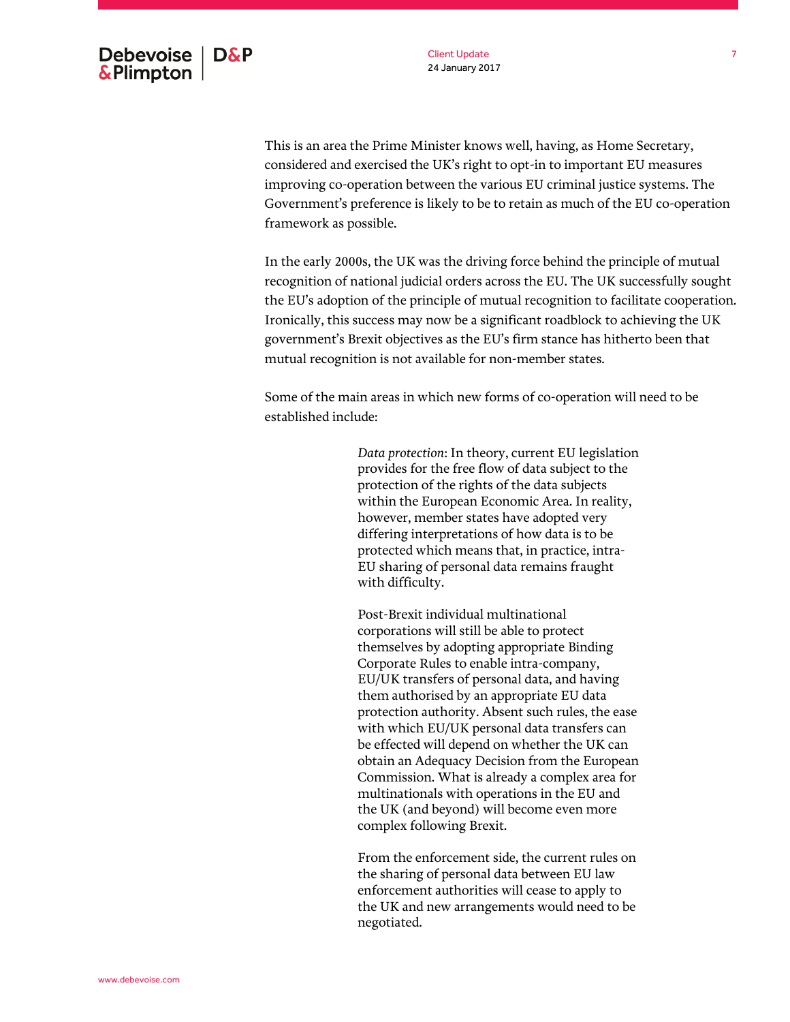

This is an area the Prime Minister knows well, having, as Home Secretary, considered and exercised the UK's right to opt-in to important EU measures improving co-operation between the various EU criminal justice systems. The Government's preference is likely to be to retain as much of the EU co-operation framework as possible.

In the early 2000s, the UK was the driving force behind the principle of mutual recognition of national judicial orders across the EU. The UK successfully sought the EU's adoption of the principle of mutual recognition to facilitate cooperation. Ironically, this success may now be a significant roadblock to achieving the UK government's Brexit objectives as the EU's firm stance has hitherto been that mutual recognition is not available for non-member states.

Some of the main areas in which new forms of co-operation will need to be established include:

> *Data protection*: In theory, current EU legislation provides for the free flow of data subject to the protection of the rights of the data subjects within the European Economic Area. In reality, however, member states have adopted very differing interpretations of how data is to be protected which means that, in practice, intra-EU sharing of personal data remains fraught with difficulty.

> Post-Brexit individual multinational corporations will still be able to protect themselves by adopting appropriate Binding Corporate Rules to enable intra-company, EU/UK transfers of personal data, and having them authorised by an appropriate EU data protection authority. Absent such rules, the ease with which EU/UK personal data transfers can be effected will depend on whether the UK can obtain an Adequacy Decision from the European Commission. What is already a complex area for multinationals with operations in the EU and the UK (and beyond) will become even more complex following Brexit.

> From the enforcement side, the current rules on the sharing of personal data between EU law enforcement authorities will cease to apply to the UK and new arrangements would need to be negotiated.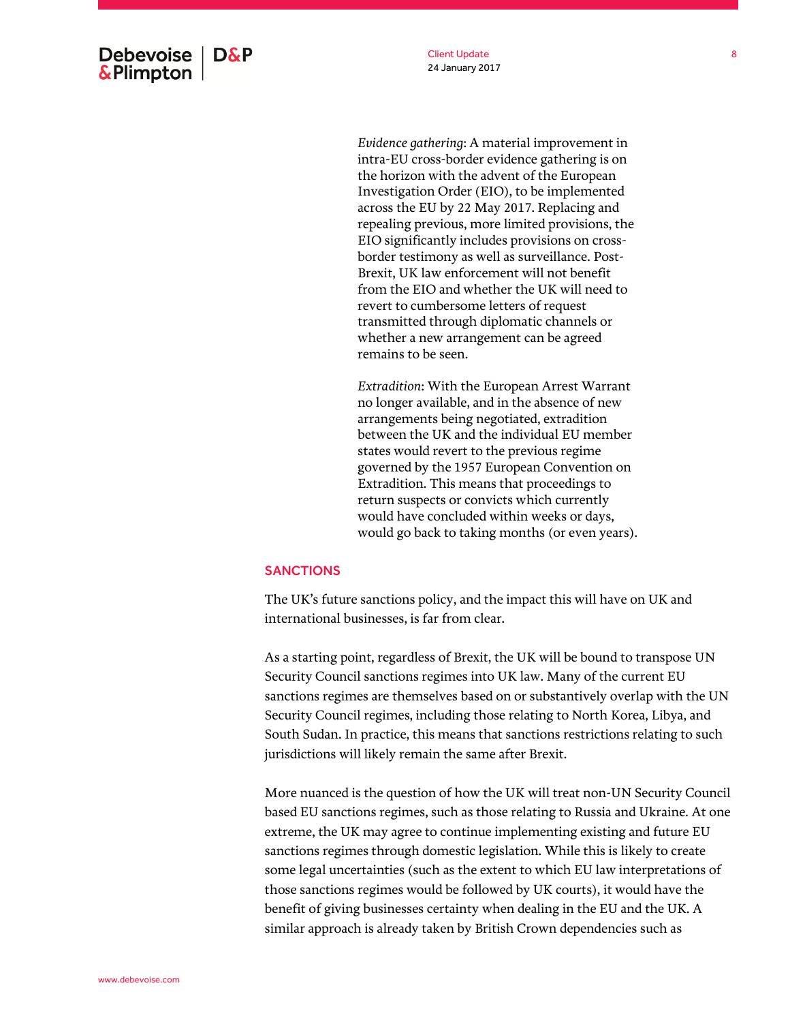

*Evidence gathering*: A material improvement in intra-EU cross-border evidence gathering is on the horizon with the advent of the European Investigation Order (EIO), to be implemented across the EU by 22 May 2017. Replacing and repealing previous, more limited provisions, the EIO significantly includes provisions on crossborder testimony as well as surveillance. Post-Brexit, UK law enforcement will not benefit from the EIO and whether the UK will need to revert to cumbersome letters of request transmitted through diplomatic channels or whether a new arrangement can be agreed remains to be seen.

*Extradition*: With the European Arrest Warrant no longer available, and in the absence of new arrangements being negotiated, extradition between the UK and the individual EU member states would revert to the previous regime governed by the 1957 European Convention on Extradition. This means that proceedings to return suspects or convicts which currently would have concluded within weeks or days, would go back to taking months (or even years).

# <span id="page-7-0"></span>**SANCTIONS**

The UK's future sanctions policy, and the impact this will have on UK and international businesses, is far from clear.

As a starting point, regardless of Brexit, the UK will be bound to transpose UN Security Council sanctions regimes into UK law. Many of the current EU sanctions regimes are themselves based on or substantively overlap with the UN Security Council regimes, including those relating to North Korea, Libya, and South Sudan. In practice, this means that sanctions restrictions relating to such jurisdictions will likely remain the same after Brexit.

More nuanced is the question of how the UK will treat non-UN Security Council based EU sanctions regimes, such as those relating to Russia and Ukraine. At one extreme, the UK may agree to continue implementing existing and future EU sanctions regimes through domestic legislation. While this is likely to create some legal uncertainties (such as the extent to which EU law interpretations of those sanctions regimes would be followed by UK courts), it would have the benefit of giving businesses certainty when dealing in the EU and the UK. A similar approach is already taken by British Crown dependencies such as